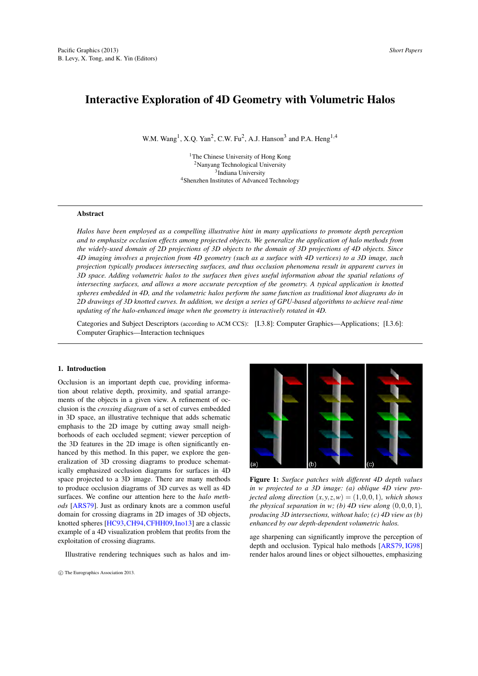# <span id="page-0-1"></span>Interactive Exploration of 4D Geometry with Volumetric Halos

W.M. Wang<sup>1</sup>, X.Q. Yan<sup>2</sup>, C.W. Fu<sup>2</sup>, A.J. Hanson<sup>3</sup> and P.A. Heng<sup>1,4</sup>

The Chinese University of Hong Kong Nanyang Technological University Indiana University Shenzhen Institutes of Advanced Technology

## Abstract

*Halos have been employed as a compelling illustrative hint in many applications to promote depth perception and to emphasize occlusion effects among projected objects. We generalize the application of halo methods from the widely-used domain of 2D projections of 3D objects to the domain of 3D projections of 4D objects. Since 4D imaging involves a projection from 4D geometry (such as a surface with 4D vertices) to a 3D image, such projection typically produces intersecting surfaces, and thus occlusion phenomena result in apparent curves in 3D space. Adding volumetric halos to the surfaces then gives useful information about the spatial relations of intersecting surfaces, and allows a more accurate perception of the geometry. A typical application is knotted spheres embedded in 4D, and the volumetric halos perform the same function as traditional knot diagrams do in 2D drawings of 3D knotted curves. In addition, we design a series of GPU-based algorithms to achieve real-time updating of the halo-enhanced image when the geometry is interactively rotated in 4D.*

Categories and Subject Descriptors (according to ACM CCS): [I.3.8]: Computer Graphics—Applications; [I.3.6]: Computer Graphics—Interaction techniques

## 1. Introduction

Occlusion is an important depth cue, providing information about relative depth, proximity, and spatial arrangements of the objects in a given view. A refinement of occlusion is the *crossing diagram* of a set of curves embedded in 3D space, an illustrative technique that adds schematic emphasis to the 2D image by cutting away small neighborhoods of each occluded segment; viewer perception of the 3D features in the 2D image is often significantly enhanced by this method. In this paper, we explore the generalization of 3D crossing diagrams to produce schematically emphasized occlusion diagrams for surfaces in 4D space projected to a 3D image. There are many methods to produce occlusion diagrams of 3D curves as well as 4D surfaces. We confine our attention here to the *halo methods* [\[ARS79\]](#page-5-0). Just as ordinary knots are a common useful domain for crossing diagrams in 2D images of 3D objects, knotted spheres [\[HC93,](#page-5-1)[CH94,](#page-5-2)[CFHH09,](#page-5-3)[Ino13\]](#page-5-4) are a classic example of a 4D visualization problem that profits from the exploitation of crossing diagrams.

Illustrative rendering techniques such as halos and im-



<span id="page-0-0"></span>Figure 1: *Surface patches with different 4D depth values in w projected to a 3D image: (a) oblique 4D view projected along direction*  $(x, y, z, w) = (1, 0, 0, 1)$ *, which shows the physical separation in w; (b) 4D view along*  $(0,0,0,1)$ *, producing 3D intersections, without halo; (c) 4D view as (b) enhanced by our depth-dependent volumetric halos.*

age sharpening can significantly improve the perception of depth and occlusion. Typical halo methods [\[ARS79,](#page-5-0) [IG98\]](#page-5-5) render halos around lines or object silhouettes, emphasizing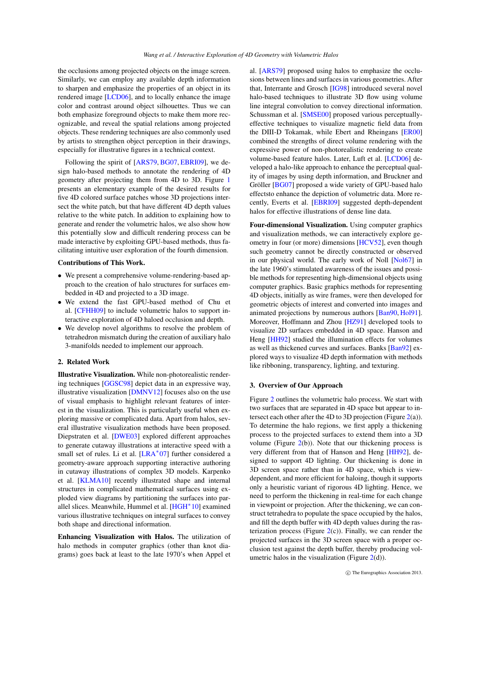<span id="page-1-0"></span>the occlusions among projected objects on the image screen. Similarly, we can employ any available depth information to sharpen and emphasize the properties of an object in its rendered image [\[LCD06\]](#page-5-6), and to locally enhance the image color and contrast around object silhouettes. Thus we can both emphasize foreground objects to make them more recognizable, and reveal the spatial relations among projected objects. These rendering techniques are also commonly used by artists to strengthen object perception in their drawings, especially for illustrative figures in a technical context.

Following the spirit of [\[ARS79,](#page-5-0) [BG07,](#page-5-7) [EBRI09\]](#page-5-8), we design halo-based methods to annotate the rendering of 4D geometry after projecting them from 4D to 3D. Figure [1](#page-0-0) presents an elementary example of the desired results for five 4D colored surface patches whose 3D projections intersect the white patch, but that have different 4D depth values relative to the white patch. In addition to explaining how to generate and render the volumetric halos, we also show how this potentially slow and difficult rendering process can be made interactive by exploiting GPU-based methods, thus facilitating intuitive user exploration of the fourth dimension.

## Contributions of This Work.

- ∙ We present a comprehensive volume-rendering-based approach to the creation of halo structures for surfaces embedded in 4D and projected to a 3D image.
- ∙ We extend the fast GPU-based method of Chu et al. [\[CFHH09\]](#page-5-3) to include volumetric halos to support interactive exploration of 4D haloed occlusion and depth.
- ∙ We develop novel algorithms to resolve the problem of tetrahedron mismatch during the creation of auxiliary halo 3-manifolds needed to implement our approach.

#### 2. Related Work

Illustrative Visualization. While non-photorealistic rendering techniques [\[GGSC98\]](#page-5-9) depict data in an expressive way, illustrative visualization [\[DMNV12\]](#page-5-10) focuses also on the use of visual emphasis to highlight relevant features of interest in the visualization. This is particularly useful when exploring massive or complicated data. Apart from halos, several illustrative visualization methods have been proposed. Diepstraten et al. [\[DWE03\]](#page-5-11) explored different approaches to generate cutaway illustrations at interactive speed with a small set of rules. Li et al. [\[LRA](#page-5-12)<sup>\*07]</sup> further considered a geometry-aware approach supporting interactive authoring in cutaway illustrations of complex 3D models. Karpenko et al. [\[KLMA10\]](#page-5-13) recently illustrated shape and internal structures in complicated mathematical surfaces using exploded view diagrams by partitioning the surfaces into parallel slices. Meanwhile, Hummel et al. [\[HGH](#page-5-14)<sup>∗</sup> 10] examined various illustrative techniques on integral surfaces to convey both shape and directional information.

Enhancing Visualization with Halos. The utilization of halo methods in computer graphics (other than knot diagrams) goes back at least to the late 1970's when Appel et

al. [\[ARS79\]](#page-5-0) proposed using halos to emphasize the occlusions between lines and surfaces in various geometries. After that, Interrante and Grosch [\[IG98\]](#page-5-5) introduced several novel halo-based techniques to illustrate 3D flow using volume line integral convolution to convey directional information. Schussman et al. [\[SMSE00\]](#page-5-15) proposed various perceptuallyeffective techniques to visualize magnetic field data from the DIII-D Tokamak, while Ebert and Rheingans [\[ER00\]](#page-5-16) combined the strengths of direct volume rendering with the expressive power of non-photorealistic rendering to create volume-based feature halos. Later, Luft et al. [\[LCD06\]](#page-5-6) developed a halo-like approach to enhance the perceptual quality of images by using depth information, and Bruckner and Gröller [\[BG07\]](#page-5-7) proposed a wide variety of GPU-based halo effectsto enhance the depiction of volumetric data. More recently, Everts et al. [\[EBRI09\]](#page-5-8) suggested depth-dependent halos for effective illustrations of dense line data.

Four-dimensional Visualization. Using computer graphics and visualization methods, we can interactively explore geometry in four (or more) dimensions [\[HCV52\]](#page-5-17), even though such geometry cannot be directly constructed or observed in our physical world. The early work of Noll [\[Nol67\]](#page-5-18) in the late 1960's stimulated awareness of the issues and possible methods for representing high-dimensional objects using computer graphics. Basic graphics methods for representing 4D objects, initially as wire frames, were then developed for geometric objects of interest and converted into images and animated projections by numerous authors [\[Ban90,](#page-5-19) [Hol91\]](#page-5-20). Moreover, Hoffmann and Zhou [\[HZ91\]](#page-5-21) developed tools to visualize 2D surfaces embedded in 4D space. Hanson and Heng [\[HH92\]](#page-5-22) studied the illumination effects for volumes as well as thickened curves and surfaces. Banks [\[Ban92\]](#page-5-23) explored ways to visualize 4D depth information with methods like ribboning, transparency, lighting, and texturing.

# 3. Overview of Our Approach

Figure [2](#page-2-0) outlines the volumetric halo process. We start with two surfaces that are separated in 4D space but appear to in-tersect each other after the 4D to 3D projection (Figure [2\(](#page-2-0)a)). To determine the halo regions, we first apply a thickening process to the projected surfaces to extend them into a 3D volume (Figure  $2(b)$  $2(b)$ ). Note that our thickening process is very different from that of Hanson and Heng [\[HH92\]](#page-5-22), designed to support 4D lighting. Our thickening is done in 3D screen space rather than in 4D space, which is viewdependent, and more efficient for haloing, though it supports only a heuristic variant of rigorous 4D lighting. Hence, we need to perform the thickening in real-time for each change in viewpoint or projection. After the thickening, we can construct tetrahedra to populate the space occupied by the halos, and fill the depth buffer with 4D depth values during the rasterization process (Figure  $2(c)$  $2(c)$ ). Finally, we can render the projected surfaces in the 3D screen space with a proper occlusion test against the depth buffer, thereby producing volumetric halos in the visualization (Figure  $2(d)$  $2(d)$ ).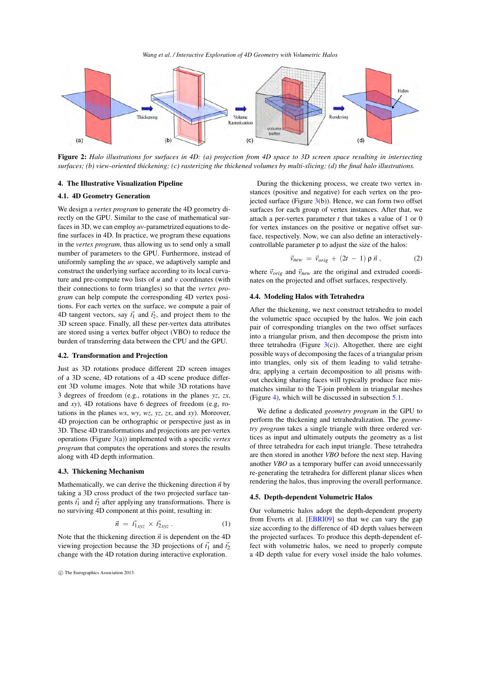*Wang et al. / Interactive Exploration of 4D Geometry with Volumetric Halos*

<span id="page-2-2"></span>

<span id="page-2-0"></span>Figure 2: *Halo illustrations for surfaces in 4D: (a) projection from 4D space to 3D screen space resulting in intersecting surfaces; (b) view-oriented thickening; (c) rasterizing the thickened volumes by multi-slicing; (d) the final halo illustrations.*

# 4. The Illustrative Visualization Pipeline

# 4.1. 4D Geometry Generation

We design a *vertex program* to generate the 4D geometry directly on the GPU. Similar to the case of mathematical surfaces in 3D, we can employ *uv*-parametrized equations to define surfaces in 4D. In practice, we program these equations in the *vertex program*, thus allowing us to send only a small number of parameters to the GPU. Furthermore, instead of uniformly sampling the *uv* space, we adaptively sample and construct the underlying surface according to its local curvature and pre-compute two lists of *u* and *v* coordinates (with their connections to form triangles) so that the *vertex program* can help compute the corresponding 4D vertex positions. For each vertex on the surface, we compute a pair of 4D tangent vectors, say  $\vec{t}_1$  and  $\vec{t}_2$ , and project them to the 3D screen space. Finally, all these per-vertex data attributes are stored using a vertex buffer object (VBO) to reduce the burden of transferring data between the CPU and the GPU.

# 4.2. Transformation and Projection

Just as 3D rotations produce different 2D screen images of a 3D scene, 4D rotations of a 4D scene produce different 3D volume images. Note that while 3D rotations have 3 degrees of freedom (e.g., rotations in the planes *yz*, *zx*, and *xy*), 4D rotations have 6 degrees of freedom (e.g, rotations in the planes *wx*, *wy*, *wz*, *yz*, *zx*, and *xy*). Moreover, 4D projection can be orthographic or perspective just as in 3D. These 4D transformations and projections are per-vertex operations (Figure [3\(](#page-3-0)a)) implemented with a specific *vertex program* that computes the operations and stores the results along with 4D depth information.

## 4.3. Thickening Mechanism

Mathematically, we can derive the thickening direction  $\vec{n}$  by taking a 3D cross product of the two projected surface tangents  $\vec{t}_1$  and  $\vec{t}_2$  after applying any transformations. There is no surviving 4D component at this point, resulting in:

$$
\vec{n} = \vec{t}_{1xyz} \times \vec{t}_{2xyz} \,. \tag{1}
$$

Note that the thickening direction  $\vec{n}$  is dependent on the 4D viewing projection because the 3D projections of  $\vec{t_1}$  and  $\vec{t_2}$ change with the 4D rotation during interactive exploration.

During the thickening process, we create two vertex instances (positive and negative) for each vertex on the projected surface (Figure  $3(b)$  $3(b)$ ). Hence, we can form two offset surfaces for each group of vertex instances. After that, we attach a per-vertex parameter *t* that takes a value of 1 or 0 for vertex instances on the positive or negative offset surface, respectively. Now, we can also define an interactivelycontrollable parameter  $\rho$  to adjust the size of the halos:

$$
\vec{v}_{new} = \vec{v}_{orig} + (2t - 1) \rho \vec{n}, \qquad (2)
$$

where  $\vec{v}_{\text{orig}}$  and  $\vec{v}_{\text{new}}$  are the original and extruded coordinates on the projected and offset surfaces, respectively.

# <span id="page-2-1"></span>4.4. Modeling Halos with Tetrahedra

After the thickening, we next construct tetrahedra to model the volumetric space occupied by the halos. We join each pair of corresponding triangles on the two offset surfaces into a triangular prism, and then decompose the prism into three tetrahedra (Figure  $3(c)$  $3(c)$ ). Altogether, there are eight possible ways of decomposing the faces of a triangular prism into triangles, only six of them leading to valid tetrahedra; applying a certain decomposition to all prisms without checking sharing faces will typically produce face mismatches similar to the T-join problem in triangular meshes (Figure [4\)](#page-3-1), which will be discussed in subsection [5.1.](#page-3-2)

We define a dedicated *geometry program* in the GPU to perform the thickening and tetrahedralization. The *geometry program* takes a single triangle with three ordered vertices as input and ultimately outputs the geometry as a list of three tetrahedra for each input triangle. These tetrahedra are then stored in another *VBO* before the next step. Having another *VBO* as a temporary buffer can avoid unnecessarily re-generating the tetrahedra for different planar slices when rendering the halos, thus improving the overall performance.

#### 4.5. Depth-dependent Volumetric Halos

Our volumetric halos adopt the depth-dependent property from Everts et al. [\[EBRI09\]](#page-5-8) so that we can vary the gap size according to the difference of 4D depth values between the projected surfaces. To produce this depth-dependent effect with volumetric halos, we need to properly compute a 4D depth value for every voxel inside the halo volumes.

<sup>⃝</sup>c The Eurographics Association 2013.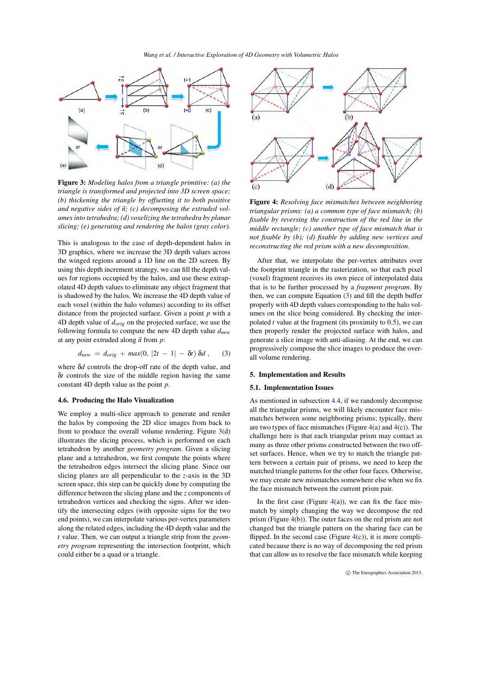

<span id="page-3-0"></span>Figure 3: *Modeling halos from a triangle primitive: (a) the triangle is transformed and projected into 3D screen space; (b) thickening the triangle by offsetting it to both positive and negative sides of*  $\vec{n}$ *; (c) decomposing the extruded volumes into tetrahedra; (d) voxelizing the tetrahedra by planar slicing; (e) generating and rendering the halos (gray color).*

This is analogous to the case of depth-dependent halos in 3D graphics, where we increase the 3D depth values across the winged regions around a 1D line on the 2D screen. By using this depth increment strategy, we can fill the depth values for regions occupied by the halos, and use these extrapolated 4D depth values to eliminate any object fragment that is shadowed by the halos. We increase the 4D depth value of each voxel (within the halo volumes) according to its offset distance from the projected surface. Given a point *p* with a 4D depth value of *dorig* on the projected surface, we use the following formula to compute the new 4D depth value *dnew* at any point extruded along  $\vec{n}$  from  $\vec{p}$ :

<span id="page-3-3"></span>
$$
d_{new} = d_{orig} + max(0, |2t - 1| - \delta t) \, \delta d \,, \qquad (3)
$$

where δ*d* controls the drop-off rate of the depth value, and δ*t* controls the size of the middle region having the same constant 4D depth value as the point *p*.

#### 4.6. Producing the Halo Visualization

We employ a multi-slice approach to generate and render the halos by composing the 2D slice images from back to front to produce the overall volume rendering. Figure  $3(d)$  $3(d)$ illustrates the slicing process, which is performed on each tetrahedron by another *geometry program*. Given a slicing plane and a tetrahedron, we first compute the points where the tetrahedron edges intersect the slicing plane. Since our slicing planes are all perpendicular to the *z*-axis in the 3D screen space, this step can be quickly done by computing the difference between the slicing plane and the *z* components of tetrahedron vertices and checking the signs. After we identify the intersecting edges (with opposite signs for the two end points), we can interpolate various per-vertex parameters along the related edges, including the 4D depth value and the *t* value. Then, we can output a triangle strip from the *geometry program* representing the intersection footprint, which could either be a quad or a triangle.



<span id="page-3-1"></span>Figure 4: *Resolving face mismatches between neighboring triangular prisms: (a) a common type of face mismatch; (b) fixable by reversing the construction of the red line in the middle rectangle; (c) another type of face mismatch that is not fixable by (b); (d) fixable by adding new vertices and reconstructing the red prism with a new decomposition.*

After that, we interpolate the per-vertex attributes over the footprint triangle in the rasterization, so that each pixel (voxel) fragment receives its own piece of interpolated data that is to be further processed by a *fragment program*. By then, we can compute Equation [\(3\)](#page-3-3) and fill the depth buffer properly with 4D depth values corresponding to the halo volumes on the slice being considered. By checking the interpolated *t* value at the fragment (its proximity to 0.5), we can then properly render the projected surface with halos, and generate a slice image with anti-aliasing. At the end, we can progressively compose the slice images to produce the overall volume rendering.

# 5. Implementation and Results

## <span id="page-3-2"></span>5.1. Implementation Issues

As mentioned in subsection [4.4,](#page-2-1) if we randomly decompose all the triangular prisms, we will likely encounter face mismatches between some neighboring prisms; typically, there are two types of face mismatches (Figure  $4(a)$  $4(a)$  and  $4(c)$ ). The challenge here is that each triangular prism may contact as many as three other prisms constructed between the two offset surfaces. Hence, when we try to match the triangle pattern between a certain pair of prisms, we need to keep the matched triangle patterns for the other four faces. Otherwise, we may create new mismatches somewhere else when we fix the face mismatch between the current prism pair.

In the first case (Figure  $4(a)$  $4(a)$ ), we can fix the face mismatch by simply changing the way we decompose the red prism (Figure [4\(](#page-3-1)b)). The outer faces on the red prism are not changed but the triangle pattern on the sharing face can be flipped. In the second case (Figure  $4(c)$  $4(c)$ ), it is more complicated because there is no way of decomposing the red prism that can allow us to resolve the face mismatch while keeping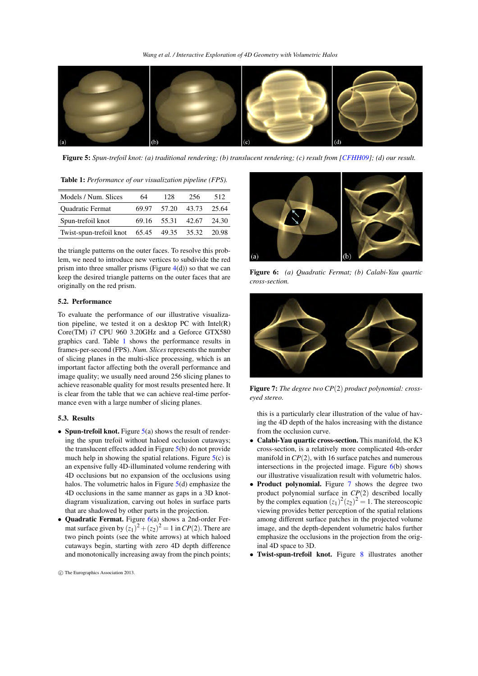<span id="page-4-4"></span>

<span id="page-4-1"></span>Figure 5: *Spun-trefoil knot: (a) traditional rendering; (b) translucent rendering; (c) result from [\[CFHH09\]](#page-5-3); (d) our result.*

<span id="page-4-0"></span>

| <b>Table 1:</b> Performance of our visualization pipeline (FPS). |       |       |       |       |
|------------------------------------------------------------------|-------|-------|-------|-------|
| Models / Num. Slices                                             | 64    | 128   | 256   | 512   |
| Quadratic Fermat                                                 | 69.97 | 57.20 | 43.73 | 25.64 |
| Spun-trefoil knot                                                | 69.16 | 55.31 | 42.67 | 24.30 |
| Twist-spun-trefoil knot                                          | 65.45 | 49.35 | 35.32 | 20.98 |

the triangle patterns on the outer faces. To resolve this problem, we need to introduce new vertices to subdivide the red prism into three smaller prisms (Figure  $4(d)$  $4(d)$ ) so that we can keep the desired triangle patterns on the outer faces that are originally on the red prism.

# 5.2. Performance

To evaluate the performance of our illustrative visualization pipeline, we tested it on a desktop PC with Intel(R) Core(TM) i7 CPU 960 3.20GHz and a Geforce GTX580 graphics card. Table [1](#page-4-0) shows the performance results in frames-per-second (FPS). *Num. Slices* represents the number of slicing planes in the multi-slice processing, which is an important factor affecting both the overall performance and image quality; we usually need around 256 slicing planes to achieve reasonable quality for most results presented here. It is clear from the table that we can achieve real-time performance even with a large number of slicing planes.

## 5.3. Results

- ∙ Spun-trefoil knot. Figure [5\(](#page-4-1)a) shows the result of rendering the spun trefoil without haloed occlusion cutaways; the translucent effects added in Figure [5\(](#page-4-1)b) do not provide much help in showing the spatial relations. Figure  $5(c)$  $5(c)$  is an expensive fully 4D-illuminated volume rendering with 4D occlusions but no expansion of the occlusions using halos. The volumetric halos in Figure [5\(](#page-4-1)d) emphasize the 4D occlusions in the same manner as gaps in a 3D knotdiagram visualization, carving out holes in surface parts that are shadowed by other parts in the projection.
- ∙ Quadratic Fermat. Figure [6\(](#page-4-2)a) shows a 2nd-order Fermat surface given by  $(z_1)^2 + (z_2)^2 = 1$  in  $CP(2)$ . There are two pinch points (see the white arrows) at which haloed cutaways begin, starting with zero 4D depth difference and monotonically increasing away from the pinch points;



Figure 6: *(a) Quadratic Fermat; (b) Calabi-Yau quartic cross-section.*

<span id="page-4-2"></span>

Figure 7: *The degree two CP*(2) *product polynomial: crosseyed stereo.*

<span id="page-4-3"></span>this is a particularly clear illustration of the value of having the 4D depth of the halos increasing with the distance from the occlusion curve.

- ∙ Calabi-Yau quartic cross-section. This manifold, the K3 cross-section, is a relatively more complicated 4th-order manifold in  $CP(2)$ , with 16 surface patches and numerous intersections in the projected image. Figure  $6(b)$  $6(b)$  shows our illustrative visualization result with volumetric halos.
- Product polynomial. Figure [7](#page-4-3) shows the degree two product polynomial surface in *CP*(2) described locally by the complex equation  $(z_1)^2 (z_2)^2 = 1$ . The stereoscopic viewing provides better perception of the spatial relations among different surface patches in the projected volume image, and the depth-dependent volumetric halos further emphasize the occlusions in the projection from the original 4D space to 3D.
- ∙ Twist-spun-trefoil knot. Figure [8](#page-5-24) illustrates another